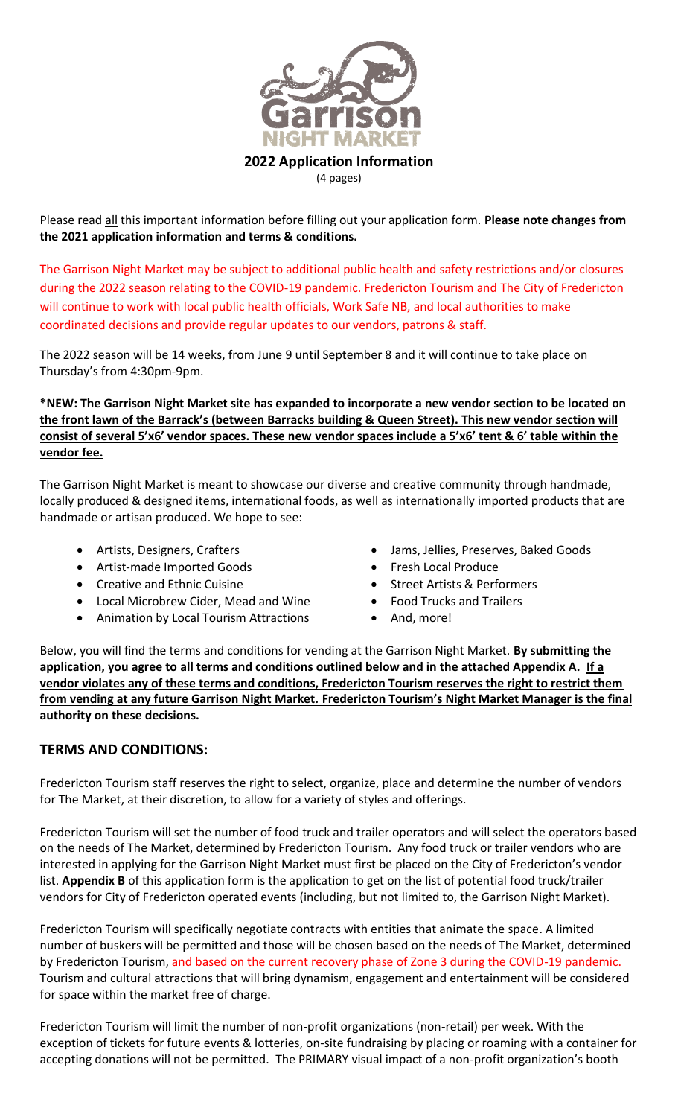

(4 pages)

Please read all this important information before filling out your application form. **Please note changes from the 2021 application information and terms & conditions.**

The Garrison Night Market may be subject to additional public health and safety restrictions and/or closures during the 2022 season relating to the COVID-19 pandemic. Fredericton Tourism and The City of Fredericton will continue to work with local public health officials, Work Safe NB, and local authorities to make coordinated decisions and provide regular updates to our vendors, patrons & staff.

The 2022 season will be 14 weeks, from June 9 until September 8 and it will continue to take place on Thursday's from 4:30pm-9pm.

**\*NEW: The Garrison Night Market site has expanded to incorporate a new vendor section to be located on the front lawn of the Barrack's (between Barracks building & Queen Street). This new vendor section will consist of several 5'x6' vendor spaces. These new vendor spaces include a 5'x6' tent & 6' table within the vendor fee.** 

The Garrison Night Market is meant to showcase our diverse and creative community through handmade, locally produced & designed items, international foods, as well as internationally imported products that are handmade or artisan produced. We hope to see:

- 
- Artist-made Imported Goods Fresh Local Produce
- 
- Local Microbrew Cider, Mead and Wine Food Trucks and Trailers
- Animation by Local Tourism Attractions And, more!
- Artists, Designers, Crafters Jams, Jellies, Preserves, Baked Goods
	-
- Creative and Ethnic Cuisine Street Artists & Performers
	-
	-

Below, you will find the terms and conditions for vending at the Garrison Night Market. **By submitting the application, you agree to all terms and conditions outlined below and in the attached Appendix A. If a vendor violates any of these terms and conditions, Fredericton Tourism reserves the right to restrict them from vending at any future Garrison Night Market. Fredericton Tourism's Night Market Manager is the final authority on these decisions.**

## **TERMS AND CONDITIONS:**

Fredericton Tourism staff reserves the right to select, organize, place and determine the number of vendors for The Market, at their discretion, to allow for a variety of styles and offerings.

Fredericton Tourism will set the number of food truck and trailer operators and will select the operators based on the needs of The Market, determined by Fredericton Tourism. Any food truck or trailer vendors who are interested in applying for the Garrison Night Market must first be placed on the City of Fredericton's vendor list. **Appendix B** of this application form is the application to get on the list of potential food truck/trailer vendors for City of Fredericton operated events (including, but not limited to, the Garrison Night Market).

Fredericton Tourism will specifically negotiate contracts with entities that animate the space. A limited number of buskers will be permitted and those will be chosen based on the needs of The Market, determined by Fredericton Tourism, and based on the current recovery phase of Zone 3 during the COVID-19 pandemic. Tourism and cultural attractions that will bring dynamism, engagement and entertainment will be considered for space within the market free of charge.

Fredericton Tourism will limit the number of non-profit organizations (non-retail) per week. With the exception of tickets for future events & lotteries, on-site fundraising by placing or roaming with a container for accepting donations will not be permitted. The PRIMARY visual impact of a non-profit organization's booth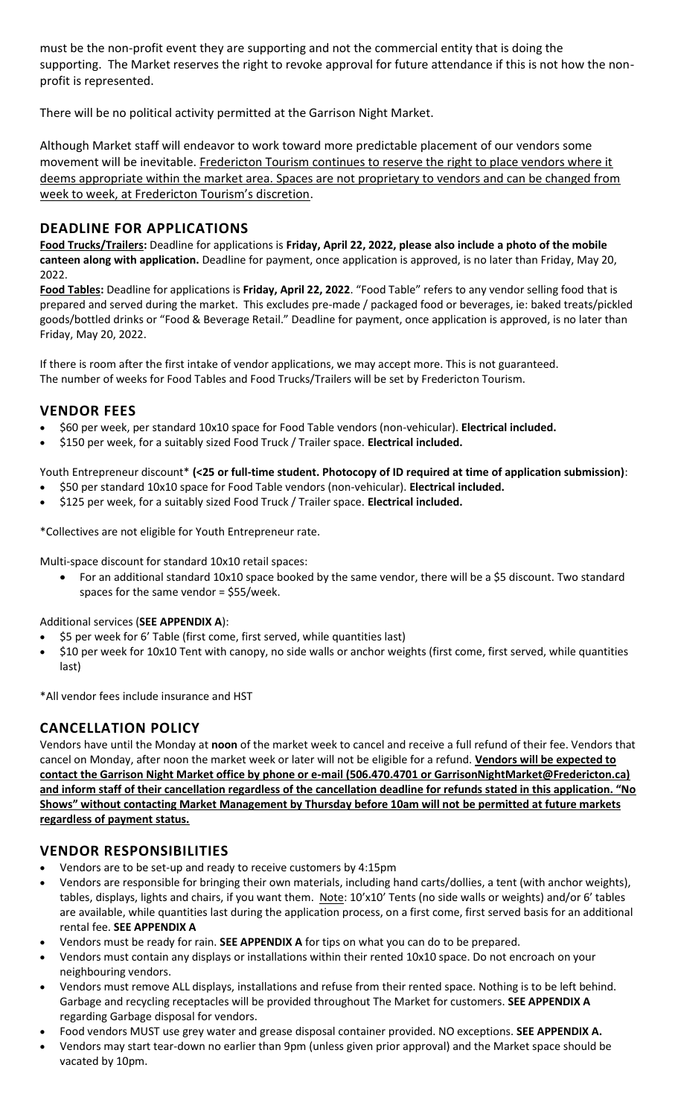must be the non-profit event they are supporting and not the commercial entity that is doing the supporting. The Market reserves the right to revoke approval for future attendance if this is not how the nonprofit is represented.

There will be no political activity permitted at the Garrison Night Market.

Although Market staff will endeavor to work toward more predictable placement of our vendors some movement will be inevitable. Fredericton Tourism continues to reserve the right to place vendors where it deems appropriate within the market area. Spaces are not proprietary to vendors and can be changed from week to week, at Fredericton Tourism's discretion.

## **DEADLINE FOR APPLICATIONS**

**Food Trucks/Trailers:** Deadline for applications is **Friday, April 22, 2022, please also include a photo of the mobile canteen along with application.** Deadline for payment, once application is approved, is no later than Friday, May 20, 2022.

**Food Tables:** Deadline for applications is **Friday, April 22, 2022**. "Food Table" refers to any vendor selling food that is prepared and served during the market. This excludes pre-made / packaged food or beverages, ie: baked treats/pickled goods/bottled drinks or "Food & Beverage Retail." Deadline for payment, once application is approved, is no later than Friday, May 20, 2022.

If there is room after the first intake of vendor applications, we may accept more. This is not guaranteed. The number of weeks for Food Tables and Food Trucks/Trailers will be set by Fredericton Tourism.

## **VENDOR FEES**

- \$60 per week, per standard 10x10 space for Food Table vendors (non-vehicular). **Electrical included.**
- \$150 per week, for a suitably sized Food Truck / Trailer space. **Electrical included.**

Youth Entrepreneur discount\* **(<25 or full-time student. Photocopy of ID required at time of application submission)**:

- \$50 per standard 10x10 space for Food Table vendors (non-vehicular). **Electrical included.**
- \$125 per week, for a suitably sized Food Truck / Trailer space. **Electrical included.**

\*Collectives are not eligible for Youth Entrepreneur rate.

Multi-space discount for standard 10x10 retail spaces:

• For an additional standard 10x10 space booked by the same vendor, there will be a \$5 discount. Two standard spaces for the same vendor = \$55/week.

## Additional services (**SEE APPENDIX A**):

- \$5 per week for 6' Table (first come, first served, while quantities last)
- \$10 per week for 10x10 Tent with canopy, no side walls or anchor weights (first come, first served, while quantities last)

\*All vendor fees include insurance and HST

## **CANCELLATION POLICY**

Vendors have until the Monday at **noon** of the market week to cancel and receive a full refund of their fee. Vendors that cancel on Monday, after noon the market week or later will not be eligible for a refund. **Vendors will be expected to contact the Garrison Night Market office by phone or e-mail (506.470.4701 or GarrisonNightMarket@Fredericton.ca) and inform staff of their cancellation regardless of the cancellation deadline for refunds stated in this application. "No Shows" without contacting Market Management by Thursday before 10am will not be permitted at future markets regardless of payment status.**

## **VENDOR RESPONSIBILITIES**

- Vendors are to be set-up and ready to receive customers by 4:15pm
- Vendors are responsible for bringing their own materials, including hand carts/dollies, a tent (with anchor weights), tables, displays, lights and chairs, if you want them. Note: 10'x10' Tents (no side walls or weights) and/or 6' tables are available, while quantities last during the application process, on a first come, first served basis for an additional rental fee. **SEE APPENDIX A**
- Vendors must be ready for rain. **SEE APPENDIX A** for tips on what you can do to be prepared.
- Vendors must contain any displays or installations within their rented 10x10 space. Do not encroach on your neighbouring vendors.
- Vendors must remove ALL displays, installations and refuse from their rented space. Nothing is to be left behind. Garbage and recycling receptacles will be provided throughout The Market for customers. **SEE APPENDIX A** regarding Garbage disposal for vendors.
- Food vendors MUST use grey water and grease disposal container provided. NO exceptions. **SEE APPENDIX A.**
- Vendors may start tear-down no earlier than 9pm (unless given prior approval) and the Market space should be vacated by 10pm.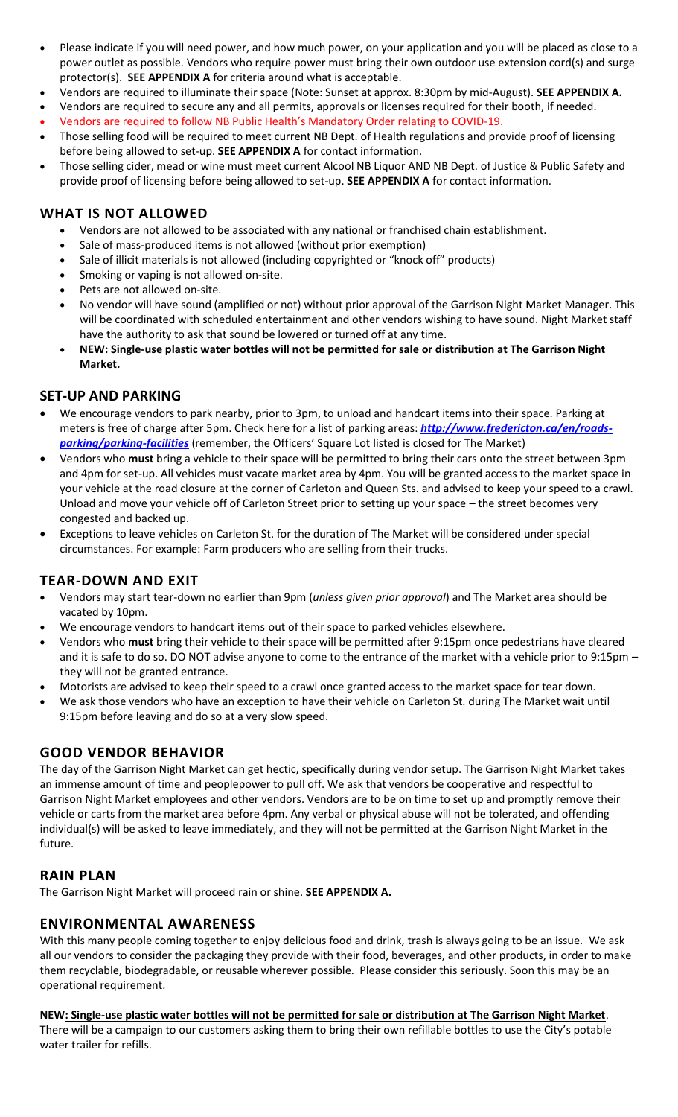- Please indicate if you will need power, and how much power, on your application and you will be placed as close to a power outlet as possible. Vendors who require power must bring their own outdoor use extension cord(s) and surge protector(s). **SEE APPENDIX A** for criteria around what is acceptable.
- Vendors are required to illuminate their space (Note: Sunset at approx. 8:30pm by mid-August). **SEE APPENDIX A.**
- Vendors are required to secure any and all permits, approvals or licenses required for their booth, if needed.
- Vendors are required to follow NB Public Health's Mandatory Order relating to COVID-19. • Those selling food will be required to meet current NB Dept. of Health regulations and provide proof of licensing
- before being allowed to set-up. **SEE APPENDIX A** for contact information. • Those selling cider, mead or wine must meet current Alcool NB Liquor AND NB Dept. of Justice & Public Safety and provide proof of licensing before being allowed to set-up. **SEE APPENDIX A** for contact information.

# **WHAT IS NOT ALLOWED**

- Vendors are not allowed to be associated with any national or franchised chain establishment.
- Sale of mass-produced items is not allowed (without prior exemption)
- Sale of illicit materials is not allowed (including copyrighted or "knock off" products)
- Smoking or vaping is not allowed on-site.
- Pets are not allowed on-site.
- No vendor will have sound (amplified or not) without prior approval of the Garrison Night Market Manager. This will be coordinated with scheduled entertainment and other vendors wishing to have sound. Night Market staff have the authority to ask that sound be lowered or turned off at any time.
- **NEW: Single-use plastic water bottles will not be permitted for sale or distribution at The Garrison Night Market.**

## **SET-UP AND PARKING**

- We encourage vendors to park nearby, prior to 3pm, to unload and handcart items into their space. Parking at meters is free of charge after 5pm. Check here for a list of parking areas: *[http://www.fredericton.ca/en/roads](http://www.fredericton.ca/en/roads-parking/parking-facilities)[parking/parking-facilities](http://www.fredericton.ca/en/roads-parking/parking-facilities)* (remember, the Officers' Square Lot listed is closed for The Market)
- Vendors who **must** bring a vehicle to their space will be permitted to bring their cars onto the street between 3pm and 4pm for set-up. All vehicles must vacate market area by 4pm. You will be granted access to the market space in your vehicle at the road closure at the corner of Carleton and Queen Sts. and advised to keep your speed to a crawl. Unload and move your vehicle off of Carleton Street prior to setting up your space – the street becomes very congested and backed up.
- Exceptions to leave vehicles on Carleton St. for the duration of The Market will be considered under special circumstances. For example: Farm producers who are selling from their trucks.

## **TEAR-DOWN AND EXIT**

- Vendors may start tear-down no earlier than 9pm (*unless given prior approval*) and The Market area should be vacated by 10pm.
- We encourage vendors to handcart items out of their space to parked vehicles elsewhere.
- Vendors who **must** bring their vehicle to their space will be permitted after 9:15pm once pedestrians have cleared and it is safe to do so. DO NOT advise anyone to come to the entrance of the market with a vehicle prior to 9:15pm – they will not be granted entrance.
- Motorists are advised to keep their speed to a crawl once granted access to the market space for tear down.
- We ask those vendors who have an exception to have their vehicle on Carleton St. during The Market wait until 9:15pm before leaving and do so at a very slow speed.

## **GOOD VENDOR BEHAVIOR**

The day of the Garrison Night Market can get hectic, specifically during vendor setup. The Garrison Night Market takes an immense amount of time and peoplepower to pull off. We ask that vendors be cooperative and respectful to Garrison Night Market employees and other vendors. Vendors are to be on time to set up and promptly remove their vehicle or carts from the market area before 4pm. Any verbal or physical abuse will not be tolerated, and offending individual(s) will be asked to leave immediately, and they will not be permitted at the Garrison Night Market in the future.

## **RAIN PLAN**

The Garrison Night Market will proceed rain or shine. **SEE APPENDIX A.**

## **ENVIRONMENTAL AWARENESS**

With this many people coming together to enjoy delicious food and drink, trash is always going to be an issue. We ask all our vendors to consider the packaging they provide with their food, beverages, and other products, in order to make them recyclable, biodegradable, or reusable wherever possible. Please consider this seriously. Soon this may be an operational requirement.

**NEW: Single-use plastic water bottles will not be permitted for sale or distribution at The Garrison Night Market**. There will be a campaign to our customers asking them to bring their own refillable bottles to use the City's potable water trailer for refills.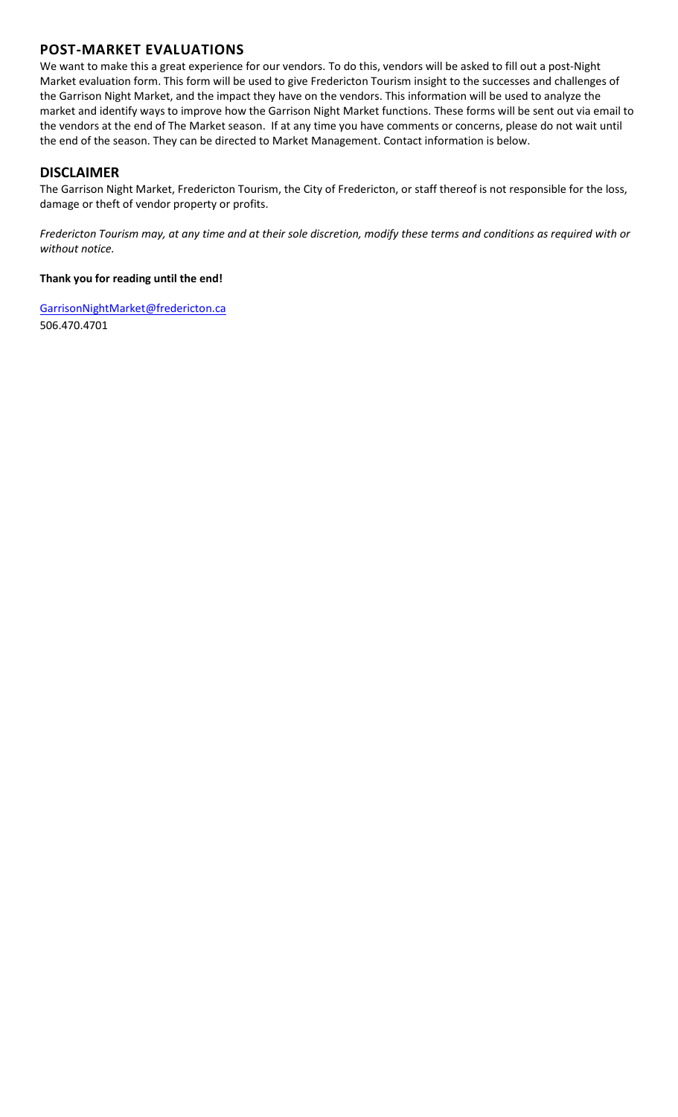# **POST-MARKET EVALUATIONS**

We want to make this a great experience for our vendors. To do this, vendors will be asked to fill out a post-Night Market evaluation form. This form will be used to give Fredericton Tourism insight to the successes and challenges of the Garrison Night Market, and the impact they have on the vendors. This information will be used to analyze the market and identify ways to improve how the Garrison Night Market functions. These forms will be sent out via email to the vendors at the end of The Market season. If at any time you have comments or concerns, please do not wait until the end of the season. They can be directed to Market Management. Contact information is below.

## **DISCLAIMER**

The Garrison Night Market, Fredericton Tourism, the City of Fredericton, or staff thereof is not responsible for the loss, damage or theft of vendor property or profits.

*Fredericton Tourism may, at any time and at their sole discretion, modify these terms and conditions as required with or without notice.* 

#### **Thank you for reading until the end!**

GarrisonNightMarke[t@fredericton.ca](mailto:@fredericton.ca) 506.470.4701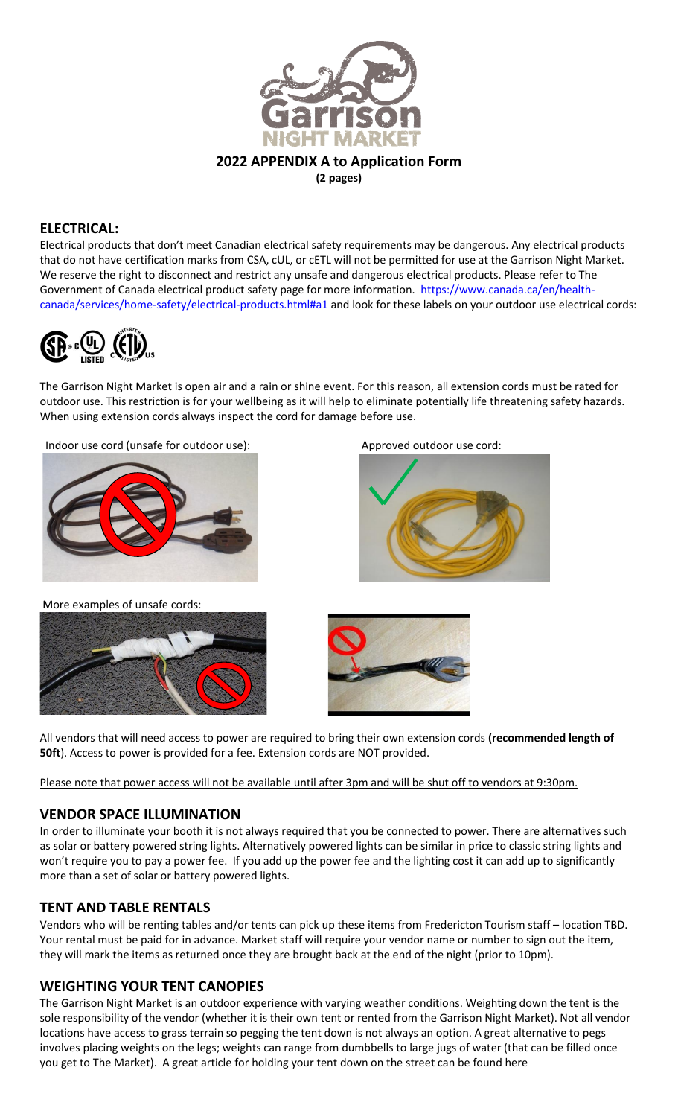

**2022 APPENDIX A to Application Form**

**(2 pages)**

#### **ELECTRICAL:**

Electrical products that don't meet Canadian electrical safety requirements may be dangerous. Any electrical products that do not have certification marks from CSA, cUL, or cETL will not be permitted for use at the Garrison Night Market. We reserve the right to disconnect and restrict any unsafe and dangerous electrical products. Please refer to The Government of Canada electrical product safety page for more information. [https://www.canada.ca/en/health](https://www.canada.ca/en/health-canada/services/home-safety/electrical-products.html#a1)[canada/services/home-safety/electrical-products.html#a1](https://www.canada.ca/en/health-canada/services/home-safety/electrical-products.html#a1) and look for these labels on your outdoor use electrical cords:



The Garrison Night Market is open air and a rain or shine event. For this reason, all extension cords must be rated for outdoor use. This restriction is for your wellbeing as it will help to eliminate potentially life threatening safety hazards. When using extension cords always inspect the cord for damage before use.

Indoor use cord (unsafe for outdoor use): Approved outdoor use cord:



More examples of unsafe cords:









All vendors that will need access to power are required to bring their own extension cords **(recommended length of 50ft**). Access to power is provided for a fee. Extension cords are NOT provided.

Please note that power access will not be available until after 3pm and will be shut off to vendors at 9:30pm.

#### **VENDOR SPACE ILLUMINATION**

In order to illuminate your booth it is not always required that you be connected to power. There are alternatives such as solar or battery powered string lights. Alternatively powered lights can be similar in price to classic string lights and won't require you to pay a power fee. If you add up the power fee and the lighting cost it can add up to significantly more than a set of solar or battery powered lights.

#### **TENT AND TABLE RENTALS**

Vendors who will be renting tables and/or tents can pick up these items from Fredericton Tourism staff – location TBD. Your rental must be paid for in advance. Market staff will require your vendor name or number to sign out the item, they will mark the items as returned once they are brought back at the end of the night (prior to 10pm).

## **WEIGHTING YOUR TENT CANOPIES**

The Garrison Night Market is an outdoor experience with varying weather conditions. Weighting down the tent is the sole responsibility of the vendor (whether it is their own tent or rented from the Garrison Night Market). Not all vendor locations have access to grass terrain so pegging the tent down is not always an option. A great alternative to pegs involves placing weights on the legs; weights can range from dumbbells to large jugs of water (that can be filled once you get to The Market). A great article for holding your tent down on the street can be found here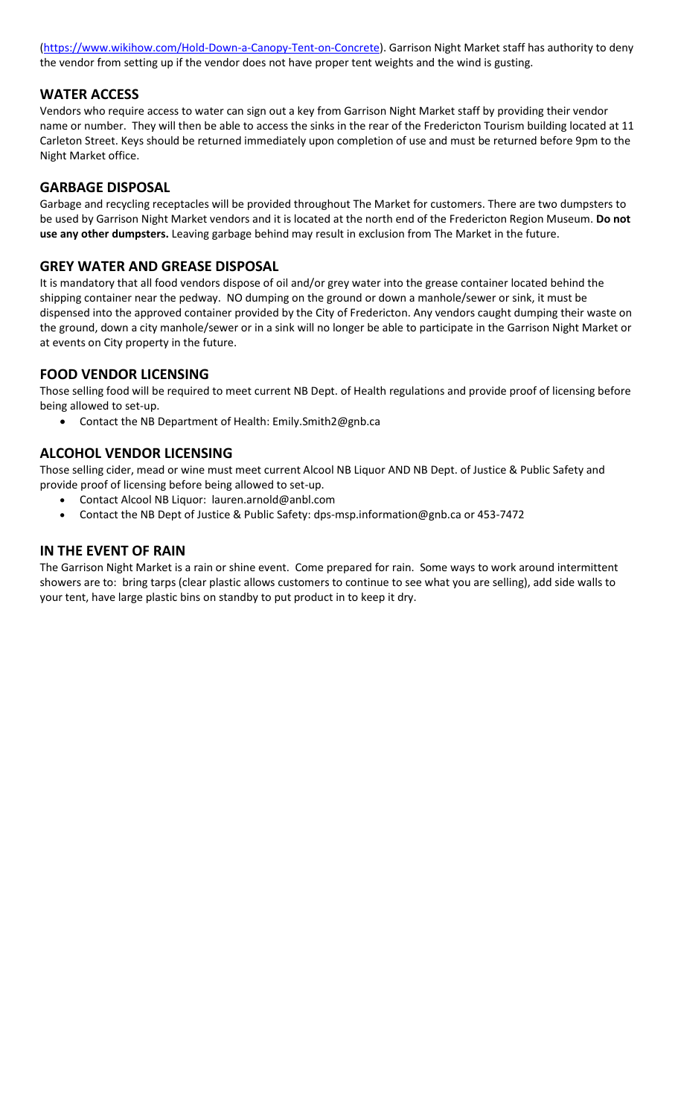[\(https://www.wikihow.com/Hold-Down-a-Canopy-Tent-on-Concrete\)](https://www.wikihow.com/Hold-Down-a-Canopy-Tent-on-Concrete). Garrison Night Market staff has authority to deny the vendor from setting up if the vendor does not have proper tent weights and the wind is gusting.

#### **WATER ACCESS**

Vendors who require access to water can sign out a key from Garrison Night Market staff by providing their vendor name or number. They will then be able to access the sinks in the rear of the Fredericton Tourism building located at 11 Carleton Street. Keys should be returned immediately upon completion of use and must be returned before 9pm to the Night Market office.

#### **GARBAGE DISPOSAL**

Garbage and recycling receptacles will be provided throughout The Market for customers. There are two dumpsters to be used by Garrison Night Market vendors and it is located at the north end of the Fredericton Region Museum. **Do not use any other dumpsters.** Leaving garbage behind may result in exclusion from The Market in the future.

#### **GREY WATER AND GREASE DISPOSAL**

It is mandatory that all food vendors dispose of oil and/or grey water into the grease container located behind the shipping container near the pedway. NO dumping on the ground or down a manhole/sewer or sink, it must be dispensed into the approved container provided by the City of Fredericton. Any vendors caught dumping their waste on the ground, down a city manhole/sewer or in a sink will no longer be able to participate in the Garrison Night Market or at events on City property in the future.

#### **FOOD VENDOR LICENSING**

Those selling food will be required to meet current NB Dept. of Health regulations and provide proof of licensing before being allowed to set-up.

• Contact the NB Department of Health: Emily.Smith2@gnb.ca

#### **ALCOHOL VENDOR LICENSING**

Those selling cider, mead or wine must meet current Alcool NB Liquor AND NB Dept. of Justice & Public Safety and provide proof of licensing before being allowed to set-up.

- Contact Alcool NB Liquor: lauren.arnold@anbl.com
- Contact the NB Dept of Justice & Public Safety: [dps-msp.information@gnb.ca](mailto:dps-msp.information@gnb.ca) or 453-7472

#### **IN THE EVENT OF RAIN**

The Garrison Night Market is a rain or shine event. Come prepared for rain. Some ways to work around intermittent showers are to: bring tarps (clear plastic allows customers to continue to see what you are selling), add side walls to your tent, have large plastic bins on standby to put product in to keep it dry.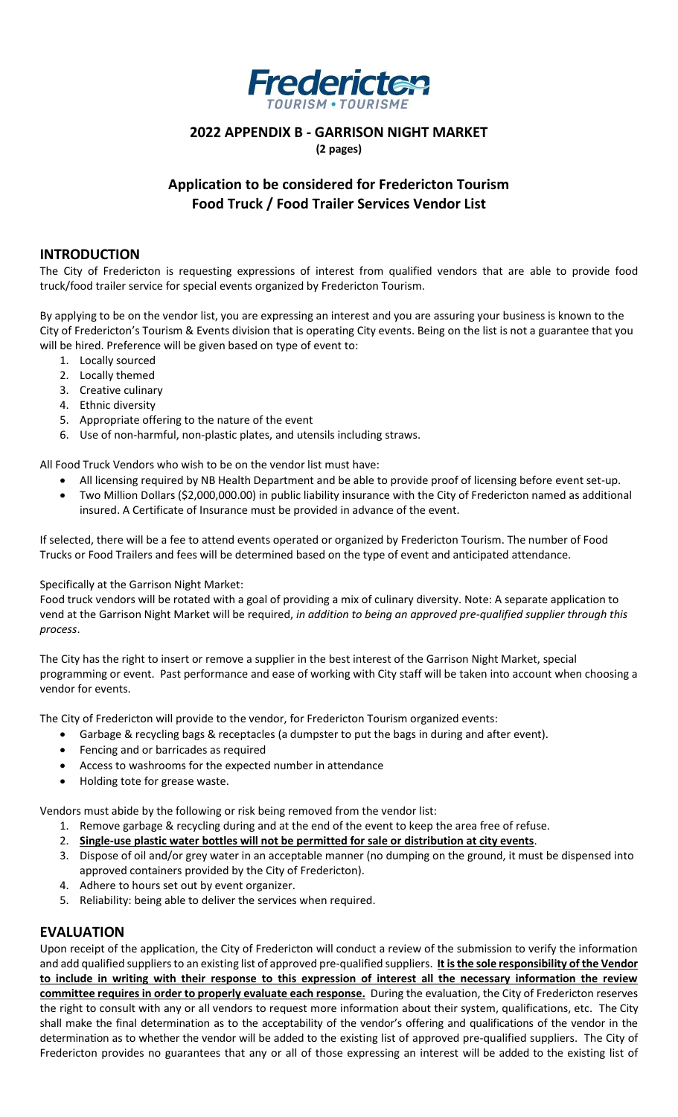

#### **2022 APPENDIX B - GARRISON NIGHT MARKET**

**(2 pages)**

# **Application to be considered for Fredericton Tourism Food Truck / Food Trailer Services Vendor List**

#### **INTRODUCTION**

The City of Fredericton is requesting expressions of interest from qualified vendors that are able to provide food truck/food trailer service for special events organized by Fredericton Tourism.

By applying to be on the vendor list, you are expressing an interest and you are assuring your business is known to the City of Fredericton's Tourism & Events division that is operating City events. Being on the list is not a guarantee that you will be hired. Preference will be given based on type of event to:

- 1. Locally sourced
- 2. Locally themed
- 3. Creative culinary
- 4. Ethnic diversity
- 5. Appropriate offering to the nature of the event
- 6. Use of non-harmful, non-plastic plates, and utensils including straws.

All Food Truck Vendors who wish to be on the vendor list must have:

- All licensing required by NB Health Department and be able to provide proof of licensing before event set-up.
- Two Million Dollars (\$2,000,000.00) in public liability insurance with the City of Fredericton named as additional insured. A Certificate of Insurance must be provided in advance of the event.

If selected, there will be a fee to attend events operated or organized by Fredericton Tourism. The number of Food Trucks or Food Trailers and fees will be determined based on the type of event and anticipated attendance.

#### Specifically at the Garrison Night Market:

Food truck vendors will be rotated with a goal of providing a mix of culinary diversity. Note: A separate application to vend at the Garrison Night Market will be required, *in addition to being an approved pre-qualified supplier through this process*.

The City has the right to insert or remove a supplier in the best interest of the Garrison Night Market, special programming or event. Past performance and ease of working with City staff will be taken into account when choosing a vendor for events.

The City of Fredericton will provide to the vendor, for Fredericton Tourism organized events:

- Garbage & recycling bags & receptacles (a dumpster to put the bags in during and after event).
- Fencing and or barricades as required
- Access to washrooms for the expected number in attendance
- Holding tote for grease waste.

Vendors must abide by the following or risk being removed from the vendor list:

- 1. Remove garbage & recycling during and at the end of the event to keep the area free of refuse.
- 2. **Single-use plastic water bottles will not be permitted for sale or distribution at city events**.
- 3. Dispose of oil and/or grey water in an acceptable manner (no dumping on the ground, it must be dispensed into approved containers provided by the City of Fredericton).
- 4. Adhere to hours set out by event organizer.
- 5. Reliability: being able to deliver the services when required.

## **EVALUATION**

Upon receipt of the application, the City of Fredericton will conduct a review of the submission to verify the information and add qualified suppliers to an existing list of approved pre-qualified suppliers. **It is the sole responsibility of the Vendor to include in writing with their response to this expression of interest all the necessary information the review committee requires in order to properly evaluate each response.** During the evaluation, the City of Fredericton reserves the right to consult with any or all vendors to request more information about their system, qualifications, etc. The City shall make the final determination as to the acceptability of the vendor's offering and qualifications of the vendor in the determination as to whether the vendor will be added to the existing list of approved pre-qualified suppliers. The City of Fredericton provides no guarantees that any or all of those expressing an interest will be added to the existing list of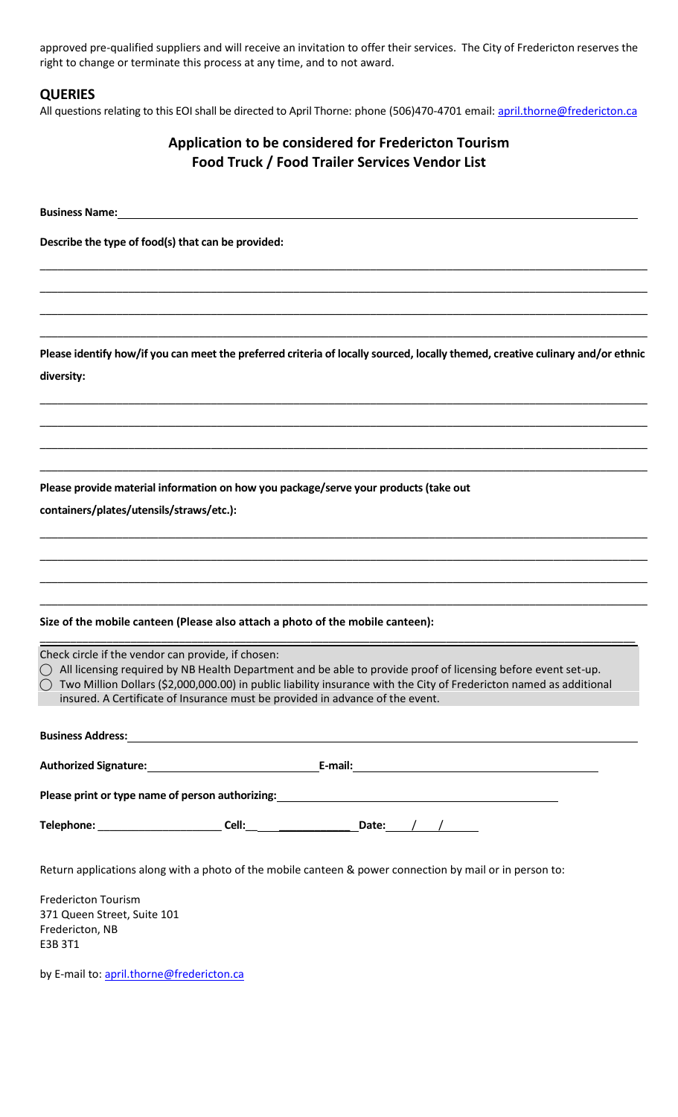approved pre-qualified suppliers and will receive an invitation to offer their services. The City of Fredericton reserves the right to change or terminate this process at any time, and to not award.

#### **QUERIES**

All questions relating to this EOI shall be directed to April Thorne: phone (506)470-4701 email[: april.thorne@fredericton.ca](mailto:april.thorne@fredericton.ca)

# **Application to be considered for Fredericton Tourism Food Truck / Food Trailer Services Vendor List**

**Business Name:** 

**Describe the type of food(s) that can be provided:**

**Please identify how/if you can meet the preferred criteria of locally sourced, locally themed, creative culinary and/or ethnic diversity:** 

\_\_\_\_\_\_\_\_\_\_\_\_\_\_\_\_\_\_\_\_\_\_\_\_\_\_\_\_\_\_\_\_\_\_\_\_\_\_\_\_\_\_\_\_\_\_\_\_\_\_\_\_\_\_\_\_\_\_\_\_\_\_\_\_\_\_\_\_\_\_\_\_\_\_\_\_\_\_\_\_\_\_\_\_\_\_\_\_\_\_\_\_\_\_\_\_\_\_\_\_\_\_\_

\_\_\_\_\_\_\_\_\_\_\_\_\_\_\_\_\_\_\_\_\_\_\_\_\_\_\_\_\_\_\_\_\_\_\_\_\_\_\_\_\_\_\_\_\_\_\_\_\_\_\_\_\_\_\_\_\_\_\_\_\_\_\_\_\_\_\_\_\_\_\_\_\_\_\_\_\_\_\_\_\_\_\_\_\_\_\_\_\_\_\_\_\_\_\_\_\_\_\_\_\_\_\_

\_\_\_\_\_\_\_\_\_\_\_\_\_\_\_\_\_\_\_\_\_\_\_\_\_\_\_\_\_\_\_\_\_\_\_\_\_\_\_\_\_\_\_\_\_\_\_\_\_\_\_\_\_\_\_\_\_\_\_\_\_\_\_\_\_\_\_\_\_\_\_\_\_\_\_\_\_\_\_\_\_\_\_\_\_\_\_\_\_\_\_\_\_\_\_\_\_\_\_\_\_\_\_

\_\_\_\_\_\_\_\_\_\_\_\_\_\_\_\_\_\_\_\_\_\_\_\_\_\_\_\_\_\_\_\_\_\_\_\_\_\_\_\_\_\_\_\_\_\_\_\_\_\_\_\_\_\_\_\_\_\_\_\_\_\_\_\_\_\_\_\_\_\_\_\_\_\_\_\_\_\_\_\_\_\_\_\_\_\_\_\_\_\_\_\_\_\_\_\_\_\_\_\_\_\_\_

\_\_\_\_\_\_\_\_\_\_\_\_\_\_\_\_\_\_\_\_\_\_\_\_\_\_\_\_\_\_\_\_\_\_\_\_\_\_\_\_\_\_\_\_\_\_\_\_\_\_\_\_\_\_\_\_\_\_\_\_\_\_\_\_\_\_\_\_\_\_\_\_\_\_\_\_\_\_\_\_\_\_\_\_\_\_\_\_\_\_\_\_\_\_\_\_\_\_\_\_\_\_\_

\_\_\_\_\_\_\_\_\_\_\_\_\_\_\_\_\_\_\_\_\_\_\_\_\_\_\_\_\_\_\_\_\_\_\_\_\_\_\_\_\_\_\_\_\_\_\_\_\_\_\_\_\_\_\_\_\_\_\_\_\_\_\_\_\_\_\_\_\_\_\_\_\_\_\_\_\_\_\_\_\_\_\_\_\_\_\_\_\_\_\_\_\_\_\_\_\_\_\_\_\_\_\_

\_\_\_\_\_\_\_\_\_\_\_\_\_\_\_\_\_\_\_\_\_\_\_\_\_\_\_\_\_\_\_\_\_\_\_\_\_\_\_\_\_\_\_\_\_\_\_\_\_\_\_\_\_\_\_\_\_\_\_\_\_\_\_\_\_\_\_\_\_\_\_\_\_\_\_\_\_\_\_\_\_\_\_\_\_\_\_\_\_\_\_\_\_\_\_\_\_\_\_\_\_\_\_

\_\_\_\_\_\_\_\_\_\_\_\_\_\_\_\_\_\_\_\_\_\_\_\_\_\_\_\_\_\_\_\_\_\_\_\_\_\_\_\_\_\_\_\_\_\_\_\_\_\_\_\_\_\_\_\_\_\_\_\_\_\_\_\_\_\_\_\_\_\_\_\_\_\_\_\_\_\_\_\_\_\_\_\_\_\_\_\_\_\_\_\_\_\_\_\_\_\_\_\_\_\_\_

\_\_\_\_\_\_\_\_\_\_\_\_\_\_\_\_\_\_\_\_\_\_\_\_\_\_\_\_\_\_\_\_\_\_\_\_\_\_\_\_\_\_\_\_\_\_\_\_\_\_\_\_\_\_\_\_\_\_\_\_\_\_\_\_\_\_\_\_\_\_\_\_\_\_\_\_\_\_\_\_\_\_\_\_\_\_\_\_\_\_\_\_\_\_\_\_\_\_\_\_

\_\_\_\_\_\_\_\_\_\_\_\_\_\_\_\_\_\_\_\_\_\_\_\_\_\_\_\_\_\_\_\_\_\_\_\_\_\_\_\_\_\_\_\_\_\_\_\_\_\_\_\_\_\_\_\_\_\_\_\_\_\_\_\_\_\_\_\_\_\_\_\_\_\_\_\_\_\_\_\_\_\_\_\_\_\_\_\_\_\_\_\_\_\_\_\_\_\_\_\_\_\_\_

\_\_\_\_\_\_\_\_\_\_\_\_\_\_\_\_\_\_\_\_\_\_\_\_\_\_\_\_\_\_\_\_\_\_\_\_\_\_\_\_\_\_\_\_\_\_\_\_\_\_\_\_\_\_\_\_\_\_\_\_\_\_\_\_\_\_\_\_\_\_\_\_\_\_\_\_\_\_\_\_\_\_\_\_\_\_\_\_\_\_\_\_\_\_\_\_\_\_\_\_\_\_\_

\_\_\_\_\_\_\_\_\_\_\_\_\_\_\_\_\_\_\_\_\_\_\_\_\_\_\_\_\_\_\_\_\_\_\_\_\_\_\_\_\_\_\_\_\_\_\_\_\_\_\_\_\_\_\_\_\_\_\_\_\_\_\_\_\_\_\_\_\_\_\_\_\_\_\_\_\_\_\_\_\_\_\_\_\_\_\_\_\_\_\_\_\_\_\_\_\_\_\_\_\_\_\_

\_\_\_\_\_\_\_\_\_\_\_\_\_\_\_\_\_\_\_\_\_\_\_\_\_\_\_\_\_\_\_\_\_\_\_\_\_\_\_\_\_\_\_\_\_\_\_\_\_\_\_\_\_\_\_\_\_\_\_\_\_\_\_\_\_\_\_\_\_\_\_\_\_\_\_\_\_\_\_\_\_\_\_\_\_\_\_\_\_\_\_\_\_\_\_\_\_\_\_\_\_\_\_

**Please provide material information on how you package/serve your products (take out** 

**containers/plates/utensils/straws/etc.):** 

#### **Size of the mobile canteen (Please also attach a photo of the mobile canteen):**

Check circle if the vendor can provide, if chosen:

 $\bigcirc$  All licensing required by NB Health Department and be able to provide proof of licensing before event set-up.

⃝ Two Million Dollars (\$2,000,000.00) in public liability insurance with the City of Fredericton named as additional insured. A Certificate of Insurance must be provided in advance of the event.

**Business Address:**  Authorized Signature: **Authorized Signature: E-mail: E-mail: E-mail: E-mail: E-mail: E-mail: E-mail: E-mail: E-mail: E-mail: E-mail: E-mail: E-mail: E-mail: E-mail: E-mail: E-mail: E-mai Please print or type name of person authorizing: Telephone:** \_\_\_\_\_\_\_\_\_\_\_\_\_\_\_\_\_\_\_\_\_ **Cell:**\_\_ \_\_\_\_\_\_\_\_\_\_\_\_ **Date:** / /

Return applications along with a photo of the mobile canteen & power connection by mail or in person to:

Fredericton Tourism 371 Queen Street, Suite 101 Fredericton, NB E3B 3T1

by E-mail to[: april.thorne@fredericton.ca](mailto:april.thorne@fredericton.ca)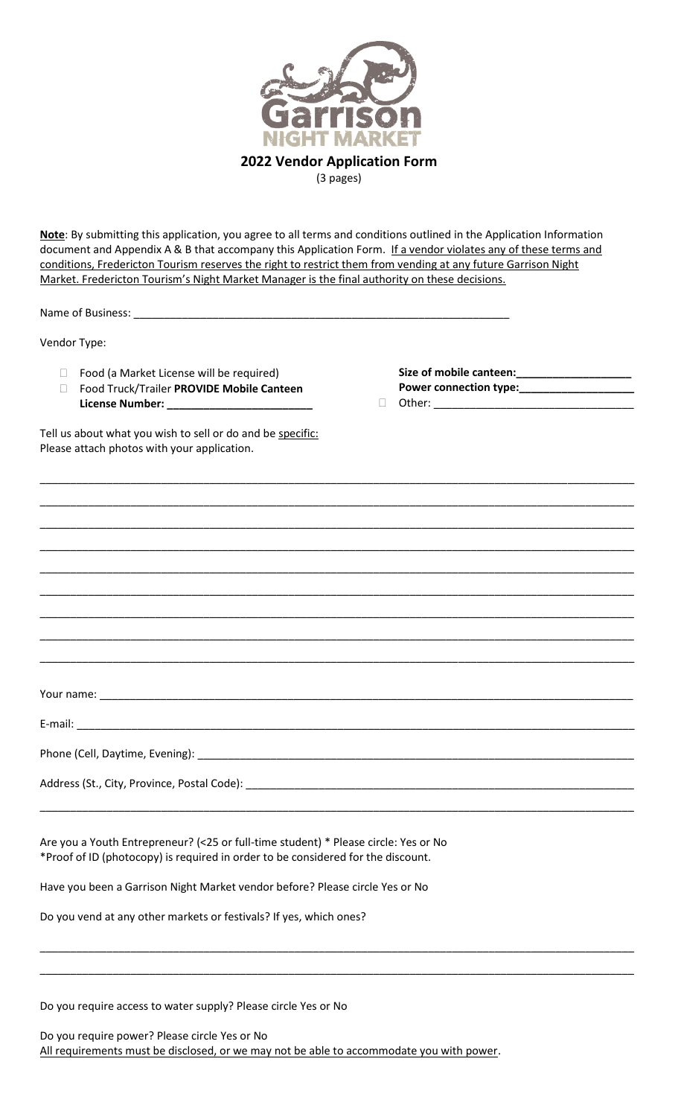

**Note**: By submitting this application, you agree to all terms and conditions outlined in the Application Information document and Appendix A & B that accompany this Application Form. If a vendor violates any of these terms and conditions, Fredericton Tourism reserves the right to restrict them from vending at any future Garrison Night Market. Fredericton Tourism's Night Market Manager is the final authority on these decisions.

| Market. Fredericton Tourism's Night Market Manager is the final authority on these decisions.                                                                                                                                  |                                                        |  |
|--------------------------------------------------------------------------------------------------------------------------------------------------------------------------------------------------------------------------------|--------------------------------------------------------|--|
|                                                                                                                                                                                                                                |                                                        |  |
| Food (a Market License will be required)<br>$\Box$<br>Food Truck/Trailer PROVIDE Mobile Canteen<br>П                                                                                                                           | Size of mobile canteen:_____________________<br>$\Box$ |  |
| Tell us about what you wish to sell or do and be specific:<br>Please attach photos with your application.                                                                                                                      |                                                        |  |
| <u> 1989 - Johann Stoff, deutscher Stoff, der Stoff, der Stoff, der Stoff, der Stoff, der Stoff, der Stoff, der S</u>                                                                                                          |                                                        |  |
|                                                                                                                                                                                                                                |                                                        |  |
|                                                                                                                                                                                                                                |                                                        |  |
|                                                                                                                                                                                                                                |                                                        |  |
|                                                                                                                                                                                                                                |                                                        |  |
|                                                                                                                                                                                                                                |                                                        |  |
|                                                                                                                                                                                                                                |                                                        |  |
|                                                                                                                                                                                                                                |                                                        |  |
|                                                                                                                                                                                                                                |                                                        |  |
|                                                                                                                                                                                                                                |                                                        |  |
|                                                                                                                                                                                                                                |                                                        |  |
| Address (St., City, Province, Postal Code): New York Contract Contract Contract Contract Contract Contract Contract Contract Contract Contract Contract Contract Contract Contract Contract Contract Contract Contract Contrac |                                                        |  |
|                                                                                                                                                                                                                                |                                                        |  |
| Are you a Youth Entrepreneur? (<25 or full-time student) * Please circle: Yes or No<br>*Proof of ID (photocopy) is required in order to be considered for the discount.                                                        |                                                        |  |
| Have you been a Garrison Night Market vendor before? Please circle Yes or No                                                                                                                                                   |                                                        |  |
| Do you vend at any other markets or festivals? If yes, which ones?                                                                                                                                                             |                                                        |  |

\_\_\_\_\_\_\_\_\_\_\_\_\_\_\_\_\_\_\_\_\_\_\_\_\_\_\_\_\_\_\_\_\_\_\_\_\_\_\_\_\_\_\_\_\_\_\_\_\_\_\_\_\_\_\_\_\_\_\_\_\_\_\_\_\_\_\_\_\_\_\_\_\_\_\_\_\_\_\_\_\_\_\_\_\_\_\_\_\_\_\_\_\_\_\_\_\_\_

\_\_\_\_\_\_\_\_\_\_\_\_\_\_\_\_\_\_\_\_\_\_\_\_\_\_\_\_\_\_\_\_\_\_\_\_\_\_\_\_\_\_\_\_\_\_\_\_\_\_\_\_\_\_\_\_\_\_\_\_\_\_\_\_\_\_\_\_\_\_\_\_\_\_\_\_\_\_\_\_\_\_\_\_\_\_\_\_\_\_\_\_\_\_\_\_\_\_

Do you require access to water supply? Please circle Yes or No

Do you require power? Please circle Yes or No All requirements must be disclosed, or we may not be able to accommodate you with power.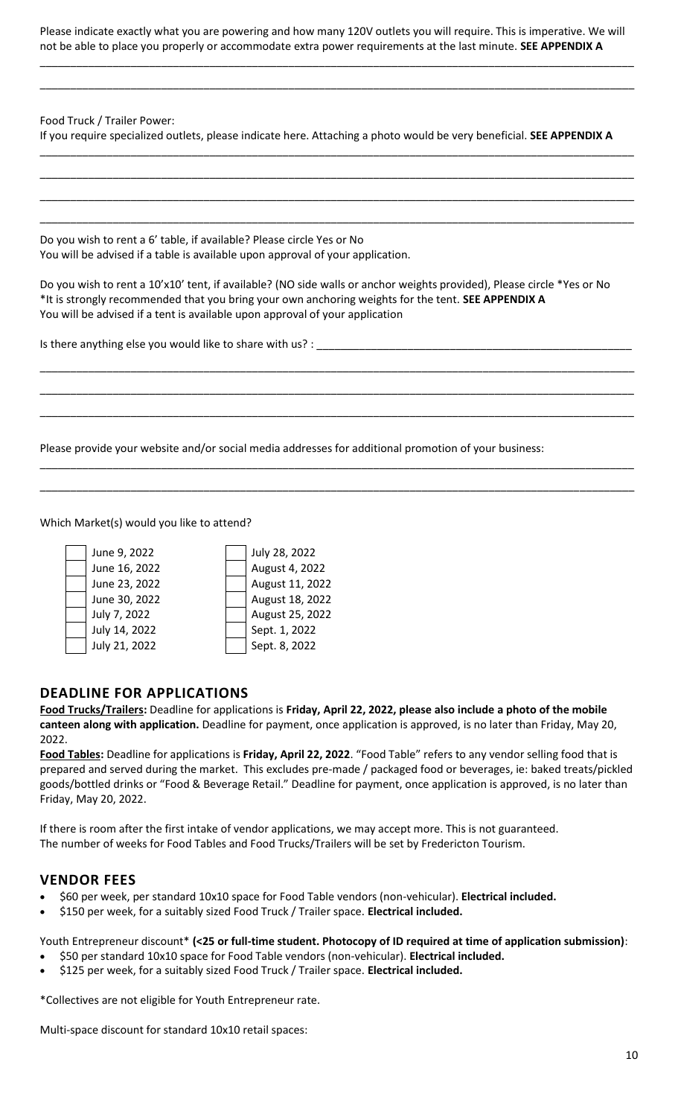Please indicate exactly what you are powering and how many 120V outlets you will require. This is imperative. We will not be able to place you properly or accommodate extra power requirements at the last minute. **SEE APPENDIX A**

\_\_\_\_\_\_\_\_\_\_\_\_\_\_\_\_\_\_\_\_\_\_\_\_\_\_\_\_\_\_\_\_\_\_\_\_\_\_\_\_\_\_\_\_\_\_\_\_\_\_\_\_\_\_\_\_\_\_\_\_\_\_\_\_\_\_\_\_\_\_\_\_\_\_\_\_\_\_\_\_\_\_\_\_\_\_\_\_\_\_\_\_\_\_\_\_\_\_

\_\_\_\_\_\_\_\_\_\_\_\_\_\_\_\_\_\_\_\_\_\_\_\_\_\_\_\_\_\_\_\_\_\_\_\_\_\_\_\_\_\_\_\_\_\_\_\_\_\_\_\_\_\_\_\_\_\_\_\_\_\_\_\_\_\_\_\_\_\_\_\_\_\_\_\_\_\_\_\_\_\_\_\_\_\_\_\_\_\_\_\_\_\_\_\_\_\_

\_\_\_\_\_\_\_\_\_\_\_\_\_\_\_\_\_\_\_\_\_\_\_\_\_\_\_\_\_\_\_\_\_\_\_\_\_\_\_\_\_\_\_\_\_\_\_\_\_\_\_\_\_\_\_\_\_\_\_\_\_\_\_\_\_\_\_\_\_\_\_\_\_\_\_\_\_\_\_\_\_\_\_\_\_\_\_\_\_\_\_\_\_\_\_\_\_\_

\_\_\_\_\_\_\_\_\_\_\_\_\_\_\_\_\_\_\_\_\_\_\_\_\_\_\_\_\_\_\_\_\_\_\_\_\_\_\_\_\_\_\_\_\_\_\_\_\_\_\_\_\_\_\_\_\_\_\_\_\_\_\_\_\_\_\_\_\_\_\_\_\_\_\_\_\_\_\_\_\_\_\_\_\_\_\_\_\_\_\_\_\_\_\_\_\_\_

\_\_\_\_\_\_\_\_\_\_\_\_\_\_\_\_\_\_\_\_\_\_\_\_\_\_\_\_\_\_\_\_\_\_\_\_\_\_\_\_\_\_\_\_\_\_\_\_\_\_\_\_\_\_\_\_\_\_\_\_\_\_\_\_\_\_\_\_\_\_\_\_\_\_\_\_\_\_\_\_\_\_\_\_\_\_\_\_\_\_\_\_\_\_\_\_\_\_

\_\_\_\_\_\_\_\_\_\_\_\_\_\_\_\_\_\_\_\_\_\_\_\_\_\_\_\_\_\_\_\_\_\_\_\_\_\_\_\_\_\_\_\_\_\_\_\_\_\_\_\_\_\_\_\_\_\_\_\_\_\_\_\_\_\_\_\_\_\_\_\_\_\_\_\_\_\_\_\_\_\_\_\_\_\_\_\_\_\_\_\_\_\_\_\_\_\_

Food Truck / Trailer Power:

If you require specialized outlets, please indicate here. Attaching a photo would be very beneficial. **SEE APPENDIX A**

Do you wish to rent a 6' table, if available? Please circle Yes or No You will be advised if a table is available upon approval of your application.

Do you wish to rent a 10'x10' tent, if available? (NO side walls or anchor weights provided), Please circle \*Yes or No \*It is strongly recommended that you bring your own anchoring weights for the tent. **SEE APPENDIX A** You will be advised if a tent is available upon approval of your application

\_\_\_\_\_\_\_\_\_\_\_\_\_\_\_\_\_\_\_\_\_\_\_\_\_\_\_\_\_\_\_\_\_\_\_\_\_\_\_\_\_\_\_\_\_\_\_\_\_\_\_\_\_\_\_\_\_\_\_\_\_\_\_\_\_\_\_\_\_\_\_\_\_\_\_\_\_\_\_\_\_\_\_\_\_\_\_\_\_\_\_\_\_\_\_\_\_\_

\_\_\_\_\_\_\_\_\_\_\_\_\_\_\_\_\_\_\_\_\_\_\_\_\_\_\_\_\_\_\_\_\_\_\_\_\_\_\_\_\_\_\_\_\_\_\_\_\_\_\_\_\_\_\_\_\_\_\_\_\_\_\_\_\_\_\_\_\_\_\_\_\_\_\_\_\_\_\_\_\_\_\_\_\_\_\_\_\_\_\_\_\_\_\_\_\_\_

\_\_\_\_\_\_\_\_\_\_\_\_\_\_\_\_\_\_\_\_\_\_\_\_\_\_\_\_\_\_\_\_\_\_\_\_\_\_\_\_\_\_\_\_\_\_\_\_\_\_\_\_\_\_\_\_\_\_\_\_\_\_\_\_\_\_\_\_\_\_\_\_\_\_\_\_\_\_\_\_\_\_\_\_\_\_\_\_\_\_\_\_\_\_\_\_\_\_

\_\_\_\_\_\_\_\_\_\_\_\_\_\_\_\_\_\_\_\_\_\_\_\_\_\_\_\_\_\_\_\_\_\_\_\_\_\_\_\_\_\_\_\_\_\_\_\_\_\_\_\_\_\_\_\_\_\_\_\_\_\_\_\_\_\_\_\_\_\_\_\_\_\_\_\_\_\_\_\_\_\_\_\_\_\_\_\_\_\_\_\_\_\_\_\_\_\_

\_\_\_\_\_\_\_\_\_\_\_\_\_\_\_\_\_\_\_\_\_\_\_\_\_\_\_\_\_\_\_\_\_\_\_\_\_\_\_\_\_\_\_\_\_\_\_\_\_\_\_\_\_\_\_\_\_\_\_\_\_\_\_\_\_\_\_\_\_\_\_\_\_\_\_\_\_\_\_\_\_\_\_\_\_\_\_\_\_\_\_\_\_\_\_\_\_\_

Is there anything else you would like to share with us? : \_\_\_\_\_\_\_\_\_\_\_\_\_\_\_\_\_\_\_\_\_\_

Please provide your website and/or social media addresses for additional promotion of your business:

Which Market(s) would you like to attend?



## **DEADLINE FOR APPLICATIONS**

**Food Trucks/Trailers:** Deadline for applications is **Friday, April 22, 2022, please also include a photo of the mobile canteen along with application.** Deadline for payment, once application is approved, is no later than Friday, May 20, 2022.

**Food Tables:** Deadline for applications is **Friday, April 22, 2022**. "Food Table" refers to any vendor selling food that is prepared and served during the market. This excludes pre-made / packaged food or beverages, ie: baked treats/pickled goods/bottled drinks or "Food & Beverage Retail." Deadline for payment, once application is approved, is no later than Friday, May 20, 2022.

If there is room after the first intake of vendor applications, we may accept more. This is not guaranteed. The number of weeks for Food Tables and Food Trucks/Trailers will be set by Fredericton Tourism.

## **VENDOR FEES**

- \$60 per week, per standard 10x10 space for Food Table vendors (non-vehicular). **Electrical included.**
- \$150 per week, for a suitably sized Food Truck / Trailer space. **Electrical included.**

Youth Entrepreneur discount\* **(<25 or full-time student. Photocopy of ID required at time of application submission)**:

- \$50 per standard 10x10 space for Food Table vendors (non-vehicular). **Electrical included.**
- \$125 per week, for a suitably sized Food Truck / Trailer space. **Electrical included.**

\*Collectives are not eligible for Youth Entrepreneur rate.

Multi-space discount for standard 10x10 retail spaces: